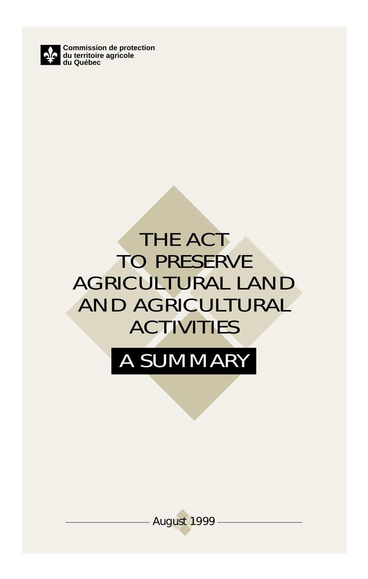

**Commission de protection du territoire agricole du Québec**

# THE ACT TO PRESERVE AGRICULTURAL LAND AND AGRICULTURAL ACTIVITIES

# A SUMMARY

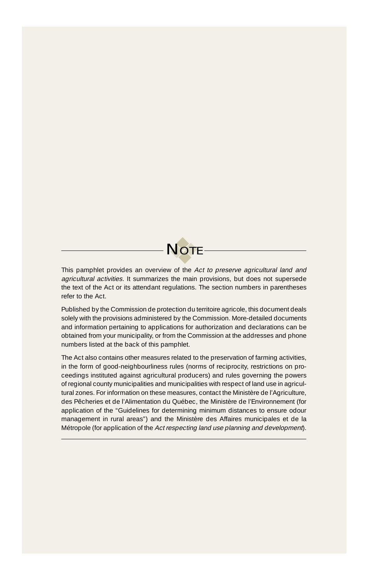

This pamphlet provides an overview of the Act to preserve agricultural land and agricultural activities. It summarizes the main provisions, but does not supersede the text of the Act or its attendant regulations. The section numbers in parentheses refer to the Act.

Published by the Commission de protection du territoire agricole, this document deals solely with the provisions administered by the Commission. More-detailed documents and information pertaining to applications for authorization and declarations can be obtained from your municipality, or from the Commission at the addresses and phone numbers listed at the back of this pamphlet.

The Act also contains other measures related to the preservation of farming activities, in the form of good-neighbourliness rules (norms of reciprocity, restrictions on proceedings instituted against agricultural producers) and rules governing the powers of regional county municipalities and municipalities with respect of land use in agricultural zones. For information on these measures, contact the Ministère de l'Agriculture, des Pêcheries et de l'Alimentation du Québec, the Ministère de l'Environnement (for application of the "Guidelines for determining minimum distances to ensure odour management in rural areas") and the Ministère des Affaires municipales et de la Métropole (for application of the Act respecting land use planning and development).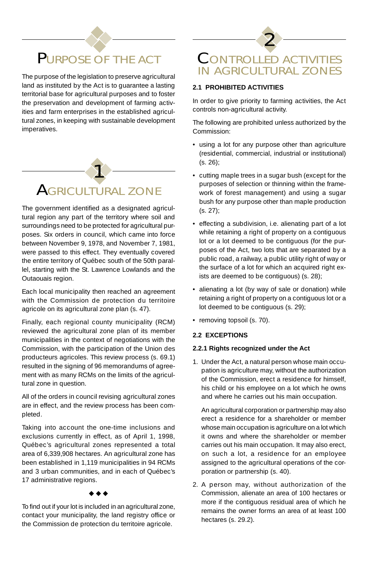# PURPOSE OF THE ACT

The purpose of the legislation to preserve agricultural land as instituted by the Act is to guarantee a lasting territorial base for agricultural purposes and to foster the preservation and development of farming activities and farm enterprises in the established agricultural zones, in keeping with sustainable development imperatives.



The government identified as a designated agricultural region any part of the territory where soil and surroundings need to be protected for agricultural purposes. Six orders in council, which came into force between November 9, 1978, and November 7, 1981, were passed to this effect. They eventually covered the entire territory of Québec south of the 50th parallel, starting with the St. Lawrence Lowlands and the Outaouais region.

Each local municipality then reached an agreement with the Commission de protection du territoire agricole on its agricultural zone plan (s. 47).

Finally, each regional county municipality (RCM) reviewed the agricultural zone plan of its member municipalities in the context of negotiations with the Commission, with the participation of the Union des producteurs agricoles. This review process (s. 69.1) resulted in the signing of 96 memorandums of agreement with as many RCMs on the limits of the agricultural zone in question.

All of the orders in council revising agricultural zones are in effect, and the review process has been completed.

Taking into account the one-time inclusions and exclusions currently in effect, as of April 1, 1998, Québec's agricultural zones represented a total area of 6,339,908 hectares. An agricultural zone has been established in 1,119 municipalities in 94 RCMs and 3 urban communities, and in each of Québec's 17 administrative regions.

#### ◆ ◆ ◆

To find out if your lot is included in an agricultural zone, contact your municipality, the land registry office or the Commission de protection du territoire agricole.

# 2 CONTROLLED ACTIVITIES IN AGRICULTURAL ZONES

#### **2.1 PROHIBITED ACTIVITIES**

In order to give priority to farming activities, the Act controls non-agricultural activity.

The following are prohibited unless authorized by the Commission:

- using a lot for any purpose other than agriculture (residential, commercial, industrial or institutional) (s. 26);
- cutting maple trees in a sugar bush (except for the purposes of selection or thinning within the framework of forest management) and using a sugar bush for any purpose other than maple production (s. 27);
- effecting a subdivision, i.e. alienating part of a lot while retaining a right of property on a contiguous lot or a lot deemed to be contiguous (for the purposes of the Act, two lots that are separated by a public road, a railway, a public utility right of way or the surface of a lot for which an acquired right exists are deemed to be contiguous) (s. 28);
- alienating a lot (by way of sale or donation) while retaining a right of property on a contiguous lot or a lot deemed to be contiguous (s. 29);
- removing topsoil (s. 70).

#### **2.2 EXCEPTIONS**

#### **2.2.1 Rights recognized under the Act**

1. Under the Act, a natural person whose main occupation is agriculture may, without the authorization of the Commission, erect a residence for himself, his child or his employee on a lot which he owns and where he carries out his main occupation.

An agricultural corporation or partnership may also erect a residence for a shareholder or member whose main occupation is agriculture on a lot which it owns and where the shareholder or member carries out his main occupation. It may also erect, on such a lot, a residence for an employee assigned to the agricultural operations of the corporation or partnership (s. 40).

2. A person may, without authorization of the Commission, alienate an area of 100 hectares or more if the contiguous residual area of which he remains the owner forms an area of at least 100 hectares (s. 29.2).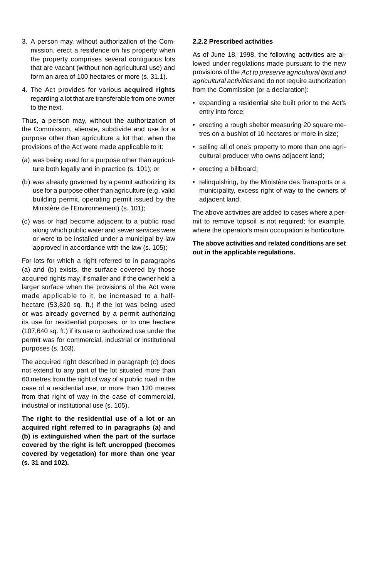- 3. A person may, without authorization of the Commission, erect a residence on his property when the property comprises several contiguous lots that are vacant (without non agricultural use) and form an area of 100 hectares or more (s. 31.1).
- 4. The Act provides for various **acquired rights** regarding a lot that are transferable from one owner to the next.

Thus, a person may, without the authorization of the Commission, alienate, subdivide and use for a purpose other than agriculture a lot that, when the provisions of the Act were made applicable to it:

- (a) was being used for a purpose other than agriculture both legally and in practice (s. 101); or
- (b) was already governed by a permit authorizing its use for a purpose other than agriculture (e.g. valid building permit, operating permit issued by the Ministère de l'Environnement) (s. 101);
- (c) was or had become adjacent to a public road along which public water and sewer services were or were to be installed under a municipal by-law approved in accordance with the law (s. 105);

For lots for which a right referred to in paragraphs (a) and (b) exists, the surface covered by those acquired rights may, if smaller and if the owner held a larger surface when the provisions of the Act were made applicable to it, be increased to a halfhectare (53,820 sq. ft.) if the lot was being used or was already governed by a permit authorizing its use for residential purposes, or to one hectare (107,640 sq. ft.) if its use or authorized use under the permit was for commercial, industrial or institutional purposes (s. 103).

The acquired right described in paragraph (c) does not extend to any part of the lot situated more than 60 metres from the right of way of a public road in the case of a residential use, or more than 120 metres from that right of way in the case of commercial, industrial or institutional use (s. 105).

**The right to the residential use of a lot or an acquired right referred to in paragraphs (a) and (b) is extinguished when the part of the surface covered by the right is left uncropped (becomes covered by vegetation) for more than one year (s. 31 and 102).**

#### **2.2.2 Prescribed activities**

As of June 18, 1998, the following activities are allowed under regulations made pursuant to the new provisions of the Act to preserve agricultural land and agricultural activities and do not require authorization from the Commission (or a declaration):

- expanding a residential site built prior to the Act's entry into force;
- erecting a rough shelter measuring 20 square metres on a bushlot of 10 hectares or more in size;
- selling all of one's property to more than one agricultural producer who owns adjacent land;
- erecting a billboard;
- relinquishing, by the Ministère des Transports or a municipality, excess right of way to the owners of adjacent land.

The above activities are added to cases where a permit to remove topsoil is not required; for example, where the operator's main occupation is horticulture.

**The above activities and related conditions are set out in the applicable regulations.**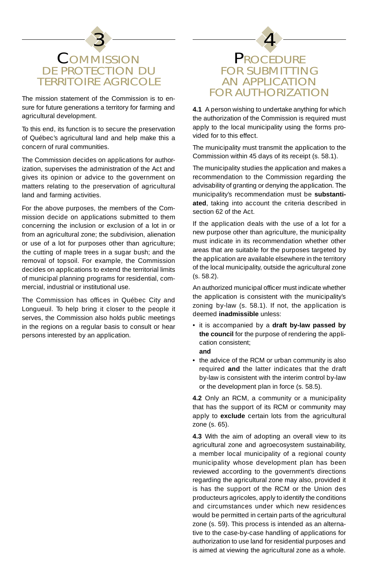# 3 **COMMISSION** DE PROTECTION DU TERRITOIRE AGRICOLE

The mission statement of the Commission is to ensure for future generations a territory for farming and agricultural development.

To this end, its function is to secure the preservation of Québec's agricultural land and help make this a concern of rural communities.

The Commission decides on applications for authorization, supervises the administration of the Act and gives its opinion or advice to the government on matters relating to the preservation of agricultural land and farming activities.

For the above purposes, the members of the Commission decide on applications submitted to them concerning the inclusion or exclusion of a lot in or from an agricultural zone; the subdivision, alienation or use of a lot for purposes other than agriculture; the cutting of maple trees in a sugar bush; and the removal of topsoil. For example, the Commission decides on applications to extend the territorial limits of municipal planning programs for residential, commercial, industrial or institutional use.

The Commission has offices in Québec City and Longueuil. To help bring it closer to the people it serves, the Commission also holds public meetings in the regions on a regular basis to consult or hear persons interested by an application.

### 4 **PROCEDURE** FOR SUBMITTING AN APPLICATION FOR AUTHORIZATION

**4.1** A person wishing to undertake anything for which the authorization of the Commission is required must apply to the local municipality using the forms provided for to this effect.

The municipality must transmit the application to the Commission within 45 days of its receipt (s. 58.1).

The municipality studies the application and makes a recommendation to the Commission regarding the advisability of granting or denying the application. The municipality's recommendation must be **substanti**ated, taking into account the criteria described in section 62 of the Act.

If the application deals with the use of a lot for a new purpose other than agriculture, the municipality must indicate in its recommendation whether other areas that are suitable for the purposes targeted by the application are available elsewhere in the territory of the local municipality, outside the agricultural zone (s. 58.2).

An authorized municipal officer must indicate whether the application is consistent with the municipality's zoning by-law (s. 58.1). If not, the application is deemed **inadmissible** unless:

- it is accompanied by a **draft by-law passed by the council** for the purpose of rendering the application consistent; **and**
- the advice of the RCM or urban community is also required **and** the latter indicates that the draft by-law is consistent with the interim control by-law or the development plan in force (s. 58.5).

**4.2** Only an RCM, a community or a municipality that has the support of its RCM or community may apply to **exclude** certain lots from the agricultural zone (s. 65).

**4.3** With the aim of adopting an overall view to its agricultural zone and agroecosystem sustainability, a member local municipality of a regional county municipality whose development plan has been reviewed according to the government's directions regarding the agricultural zone may also, provided it is has the support of the RCM or the Union des producteurs agricoles, apply to identify the conditions and circumstances under which new residences would be permitted in certain parts of the agricultural zone (s. 59). This process is intended as an alternative to the case-by-case handling of applications for authorization to use land for residential purposes and is aimed at viewing the agricultural zone as a whole.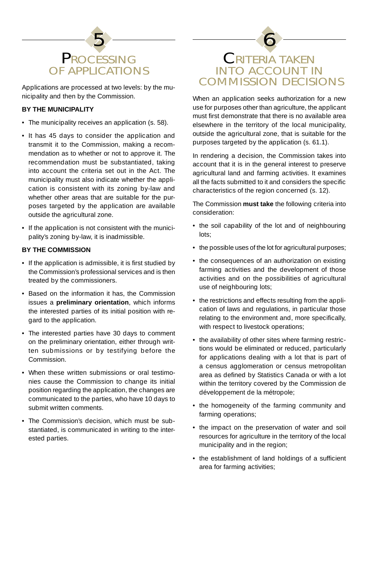

Applications are processed at two levels: by the municipality and then by the Commission.

#### **BY THE MUNICIPALITY**

- The municipality receives an application (s. 58).
- It has 45 days to consider the application and transmit it to the Commission, making a recommendation as to whether or not to approve it. The recommendation must be substantiated, taking into account the criteria set out in the Act. The municipality must also indicate whether the application is consistent with its zoning by-law and whether other areas that are suitable for the purposes targeted by the application are available outside the agricultural zone.
- If the application is not consistent with the municipality's zoning by-law, it is inadmissible.

#### **BY THE COMMISSION**

- If the application is admissible, it is first studied by the Commission's professional services and is then treated by the commissioners.
- Based on the information it has, the Commission issues a **preliminary orientation**, which informs the interested parties of its initial position with regard to the application.
- The interested parties have 30 days to comment on the preliminary orientation, either through written submissions or by testifying before the Commission.
- When these written submissions or oral testimonies cause the Commission to change its initial position regarding the application, the changes are communicated to the parties, who have 10 days to submit written comments.
- The Commission's decision, which must be substantiated, is communicated in writing to the interested parties.

# 6 CRITERIA TAKEN INTO ACCOUNT IN COMMISSION DECISIONS

When an application seeks authorization for a new use for purposes other than agriculture, the applicant must first demonstrate that there is no available area elsewhere in the territory of the local municipality, outside the agricultural zone, that is suitable for the purposes targeted by the application (s. 61.1).

In rendering a decision, the Commission takes into account that it is in the general interest to preserve agricultural land and farming activities. It examines all the facts submitted to it and considers the specific characteristics of the region concerned (s. 12).

The Commission **must take** the following criteria into consideration:

- the soil capability of the lot and of neighbouring lots;
- the possible uses of the lot for agricultural purposes;
- the consequences of an authorization on existing farming activities and the development of those activities and on the possibilities of agricultural use of neighbouring lots;
- the restrictions and effects resulting from the application of laws and regulations, in particular those relating to the environment and, more specifically, with respect to livestock operations;
- the availability of other sites where farming restrictions would be eliminated or reduced, particularly for applications dealing with a lot that is part of a census agglomeration or census metropolitan area as defined by Statistics Canada or with a lot within the territory covered by the Commission de développement de la métropole;
- the homogeneity of the farming community and farming operations;
- the impact on the preservation of water and soil resources for agriculture in the territory of the local municipality and in the region;
- the establishment of land holdings of a sufficient area for farming activities;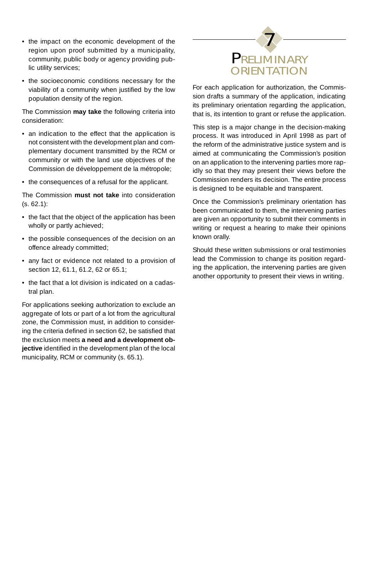- the impact on the economic development of the region upon proof submitted by a municipality, community, public body or agency providing public utility services;
- the socioeconomic conditions necessary for the viability of a community when justified by the low population density of the region.

The Commission **may take** the following criteria into consideration:

- an indication to the effect that the application is not consistent with the development plan and complementary document transmitted by the RCM or community or with the land use objectives of the Commission de développement de la métropole;
- the consequences of a refusal for the applicant.

The Commission **must not take** into consideration (s. 62.1):

- the fact that the object of the application has been wholly or partly achieved;
- the possible consequences of the decision on an offence already committed;
- any fact or evidence not related to a provision of section 12, 61.1, 61.2, 62 or 65.1;
- the fact that a lot division is indicated on a cadastral plan.

For applications seeking authorization to exclude an aggregate of lots or part of a lot from the agricultural zone, the Commission must, in addition to considering the criteria defined in section 62, be satisfied that the exclusion meets **a need and a development objective** identified in the development plan of the local municipality, RCM or community (s. 65.1).



For each application for authorization, the Commission drafts a summary of the application, indicating its preliminary orientation regarding the application, that is, its intention to grant or refuse the application.

This step is a major change in the decision-making process. It was introduced in April 1998 as part of the reform of the administrative justice system and is aimed at communicating the Commission's position on an application to the intervening parties more rapidly so that they may present their views before the Commission renders its decision. The entire process is designed to be equitable and transparent.

Once the Commission's preliminary orientation has been communicated to them, the intervening parties are given an opportunity to submit their comments in writing or request a hearing to make their opinions known orally.

Should these written submissions or oral testimonies lead the Commission to change its position regarding the application, the intervening parties are given another opportunity to present their views in writing.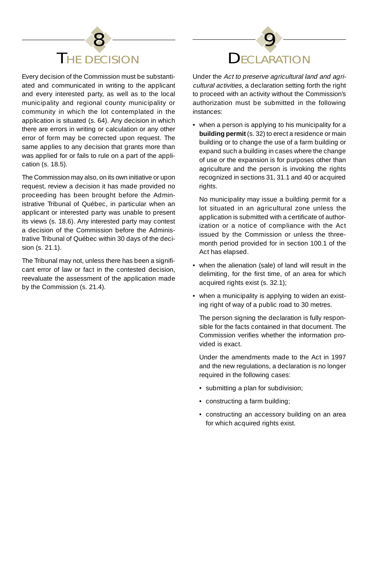

Every decision of the Commission must be substantiated and communicated in writing to the applicant and every interested party, as well as to the local municipality and regional county municipality or community in which the lot contemplated in the application is situated (s. 64). Any decision in which there are errors in writing or calculation or any other error of form may be corrected upon request. The same applies to any decision that grants more than was applied for or fails to rule on a part of the application (s. 18.5).

The Commission may also, on its own initiative or upon request, review a decision it has made provided no proceeding has been brought before the Administrative Tribunal of Québec, in particular when an applicant or interested party was unable to present its views (s. 18.6). Any interested party may contest a decision of the Commission before the Administrative Tribunal of Québec within 30 days of the decision (s. 21.1).

The Tribunal may not, unless there has been a significant error of law or fact in the contested decision, reevaluate the assessment of the application made by the Commission (s. 21.4).



Under the Act to preserve agricultural land and agricultural activities, a declaration setting forth the right to proceed with an activity without the Commission's authorization must be submitted in the following instances:

• when a person is applying to his municipality for a **building permit** (s. 32) to erect a residence or main building or to change the use of a farm building or expand such a building in cases where the change of use or the expansion is for purposes other than agriculture and the person is invoking the rights recognized in sections 31, 31.1 and 40 or acquired rights.

No municipality may issue a building permit for a lot situated in an agricultural zone unless the application is submitted with a certificate of authorization or a notice of compliance with the Act issued by the Commission or unless the threemonth period provided for in section 100.1 of the Act has elapsed.

- when the alienation (sale) of land will result in the delimiting, for the first time, of an area for which acquired rights exist (s. 32.1);
- when a municipality is applying to widen an existing right of way of a public road to 30 metres.

The person signing the declaration is fully responsible for the facts contained in that document. The Commission verifies whether the information provided is exact.

Under the amendments made to the Act in 1997 and the new regulations, a declaration is no longer required in the following cases:

- submitting a plan for subdivision;
- constructing a farm building;
- constructing an accessory building on an area for which acquired rights exist.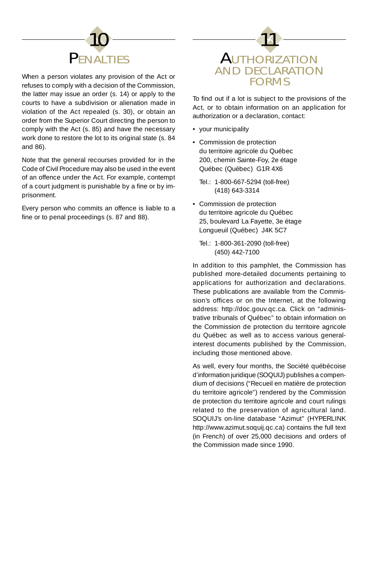

When a person violates any provision of the Act or refuses to comply with a decision of the Commission, the latter may issue an order (s. 14) or apply to the courts to have a subdivision or alienation made in violation of the Act repealed (s. 30), or obtain an order from the Superior Court directing the person to comply with the Act (s. 85) and have the necessary work done to restore the lot to its original state (s. 84 and 86).

Note that the general recourses provided for in the Code of Civil Procedure may also be used in the event of an offence under the Act. For example, contempt of a court judgment is punishable by a fine or by imprisonment.

Every person who commits an offence is liable to a fine or to penal proceedings (s. 87 and 88).

## 11 **AUTHORIZATION** AND DECLARATION FORMS

To find out if a lot is subject to the provisions of the Act, or to obtain information on an application for authorization or a declaration, contact:

- your municipality
- Commission de protection du territoire agricole du Québec 200, chemin Sainte-Foy, 2e étage Québec (Québec) G1R 4X6
	- Tel.: 1-800-667-5294 (toll-free) (418) 643-3314
- Commission de protection du territoire agricole du Québec 25, boulevard La Fayette, 3e étage Longueuil (Québec) J4K 5C7
	- Tel.: 1-800-361-2090 (toll-free) (450) 442-7100

In addition to this pamphlet, the Commission has published more-detailed documents pertaining to applications for authorization and declarations. These publications are available from the Commission's offices or on the Internet, at the following address: http://doc.gouv.qc.ca. Click on "administrative tribunals of Québec" to obtain information on the Commission de protection du territoire agricole du Québec as well as to access various generalinterest documents published by the Commission, including those mentioned above.

As well, every four months, the Société québécoise d'information juridique (SOQUIJ) publishes a compendium of decisions ("Recueil en matière de protection du territoire agricole") rendered by the Commission de protection du territoire agricole and court rulings related to the preservation of agricultural land. SOQUIJ's on-line database "Azimut" (HYPERLINK http://www.azimut.soquij.qc.ca) contains the full text (in French) of over 25,000 decisions and orders of the Commission made since 1990.